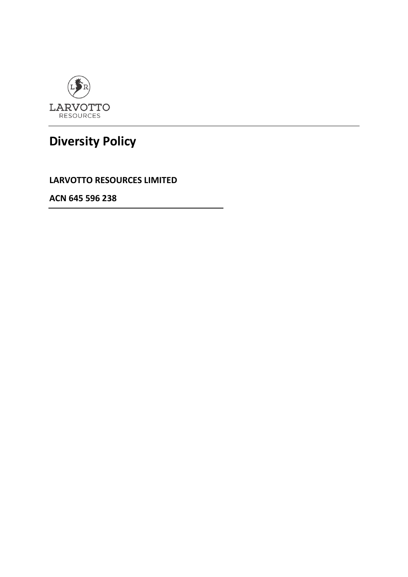

# **Diversity Policy**

**LARVOTTO RESOURCES LIMITED**

**ACN 645 596 238**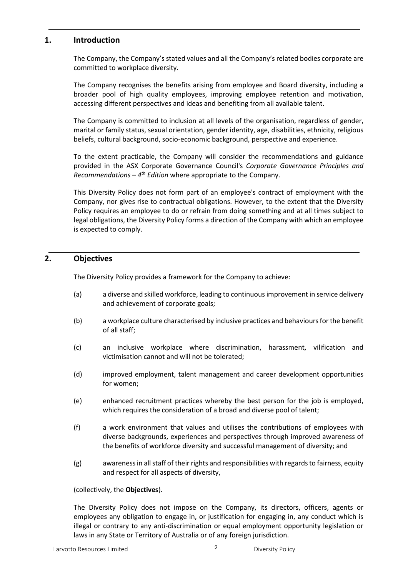## **1. Introduction**

The Company, the Company's stated values and all the Company's related bodies corporate are committed to workplace diversity.

The Company recognises the benefits arising from employee and Board diversity, including a broader pool of high quality employees, improving employee retention and motivation, accessing different perspectives and ideas and benefiting from all available talent.

The Company is committed to inclusion at all levels of the organisation, regardless of gender, marital or family status, sexual orientation, gender identity, age, disabilities, ethnicity, religious beliefs, cultural background, socio-economic background, perspective and experience.

To the extent practicable, the Company will consider the recommendations and guidance provided in the ASX Corporate Governance Council's *Corporate Governance Principles and Recommendations – 4th Edition* where appropriate to the Company.

This Diversity Policy does not form part of an employee's contract of employment with the Company, nor gives rise to contractual obligations. However, to the extent that the Diversity Policy requires an employee to do or refrain from doing something and at all times subject to legal obligations, the Diversity Policy forms a direction of the Company with which an employee is expected to comply.

### **2. Objectives**

The Diversity Policy provides a framework for the Company to achieve:

- (a) a diverse and skilled workforce, leading to continuous improvement in service delivery and achievement of corporate goals;
- (b) a workplace culture characterised by inclusive practices and behaviours for the benefit of all staff;
- (c) an inclusive workplace where discrimination, harassment, vilification and victimisation cannot and will not be tolerated;
- (d) improved employment, talent management and career development opportunities for women;
- (e) enhanced recruitment practices whereby the best person for the job is employed, which requires the consideration of a broad and diverse pool of talent;
- (f) a work environment that values and utilises the contributions of employees with diverse backgrounds, experiences and perspectives through improved awareness of the benefits of workforce diversity and successful management of diversity; and
- (g) awareness in all staff of their rights and responsibilities with regards to fairness, equity and respect for all aspects of diversity,

#### (collectively, the **Objectives**).

The Diversity Policy does not impose on the Company, its directors, officers, agents or employees any obligation to engage in, or justification for engaging in, any conduct which is illegal or contrary to any anti-discrimination or equal employment opportunity legislation or laws in any State or Territory of Australia or of any foreign jurisdiction.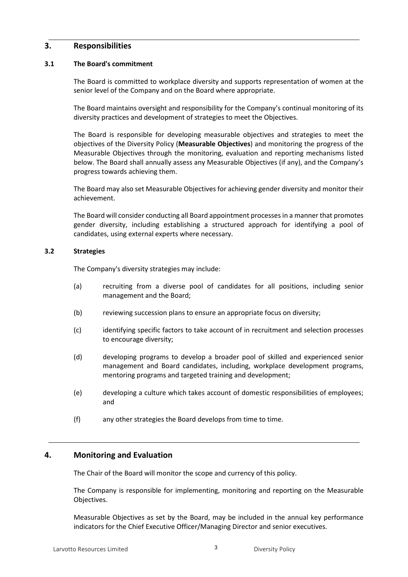## **3. Responsibilities**

#### **3.1 The Board's commitment**

The Board is committed to workplace diversity and supports representation of women at the senior level of the Company and on the Board where appropriate.

The Board maintains oversight and responsibility for the Company's continual monitoring of its diversity practices and development of strategies to meet the Objectives.

The Board is responsible for developing measurable objectives and strategies to meet the objectives of the Diversity Policy (**Measurable Objectives**) and monitoring the progress of the Measurable Objectives through the monitoring, evaluation and reporting mechanisms listed below. The Board shall annually assess any Measurable Objectives (if any), and the Company's progress towards achieving them.

The Board may also set Measurable Objectives for achieving gender diversity and monitor their achievement.

The Board will consider conducting all Board appointment processes in a manner that promotes gender diversity, including establishing a structured approach for identifying a pool of candidates, using external experts where necessary.

#### **3.2 Strategies**

The Company's diversity strategies may include:

- (a) recruiting from a diverse pool of candidates for all positions, including senior management and the Board;
- (b) reviewing succession plans to ensure an appropriate focus on diversity;
- (c) identifying specific factors to take account of in recruitment and selection processes to encourage diversity;
- (d) developing programs to develop a broader pool of skilled and experienced senior management and Board candidates, including, workplace development programs, mentoring programs and targeted training and development;
- (e) developing a culture which takes account of domestic responsibilities of employees; and
- (f) any other strategies the Board develops from time to time.

# **4. Monitoring and Evaluation**

The Chair of the Board will monitor the scope and currency of this policy.

The Company is responsible for implementing, monitoring and reporting on the Measurable Objectives.

Measurable Objectives as set by the Board, may be included in the annual key performance indicators for the Chief Executive Officer/Managing Director and senior executives.